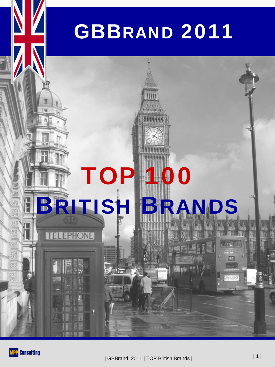# GBBRAND 2011



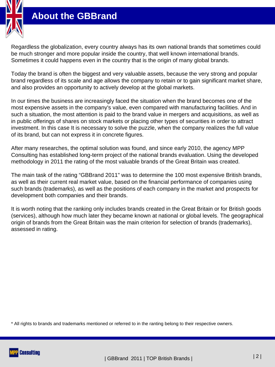

#### **About the GBBrand**

Regardless the globalization, every country always has its own national brands that sometimes could be much stronger and more popular inside the country, that well known international brands. Sometimes it could happens even in the country that is the origin of many global brands.

Today the brand is often the biggest and very valuable assets, because the very strong and popular brand regardless of its scale and age allows the company to retain or to gain significant market share, and also provides an opportunity to actively develop at the global markets.

In our times the business are increasingly faced the situation when the brand becomes one of the most expensive assets in the company's value, even compared with manufacturing facilities. And in such a situation, the most attention is paid to the brand value in mergers and acquisitions, as well as in public offerings of shares on stock markets or placing other types of securities in order to attract investment. In this case It is necessary to solve the puzzle, when the company realizes the full value of its brand, but can not express it in concrete figures.

After many researches, the optimal solution was found, and since early 2010, the agency MPP Consulting has established long-term project of the national brands evaluation. Using the developed methodology in 2011 the rating of the most valuable brands of the Great Britain was created.

The main task of the rating "GBBrand 2011" was to determine the 100 most expensive British brands, as well as their current real market value, based on the financial performance of companies using such brands (trademarks), as well as the positions of each company in the market and prospects for development both companies and their brands.

It is worth noting that the ranking only includes brands created in the Great Britain or for British goods (services), although how much later they became known at national or global levels. The geographical origin of brands from the Great Britain was the main criterion for selection of brands (trademarks), assessed in rating.

\* All rights to brands and trademarks mentioned or referred to in the ranting belong to their respective owners.

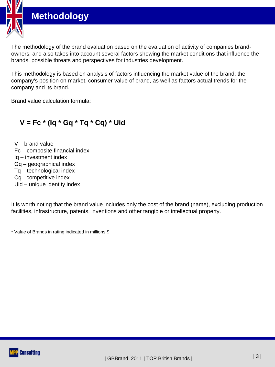



This methodology is based on analysis of factors influencing the market value of the brand: the company's position on market, consumer value of brand, as well as factors actual trends for the company and its brand.

Brand value calculation formula:

#### **V = Fc \* (Iq \* Gq \* Tq \* Cq) \* Uid**

V – brand value Fc – composite financial index Iq – investment index Gq – geographical index Tq – technological index Cq - competitive index Uid – unique identity index

It is worth noting that the brand value includes only the cost of the brand (name), excluding production facilities, infrastructure, patents, inventions and other tangible or intellectual property.

\* Value of Brands in rating indicated in millions \$

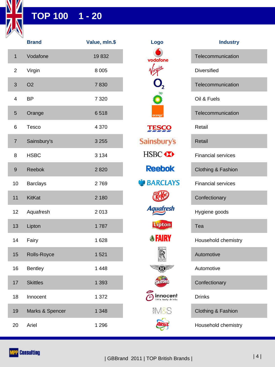

#### **TOP 100 1 - 20**

|                  | <b>Brand</b>    | Value, mln.\$ | Logo                                | <b>Industry</b>           |
|------------------|-----------------|---------------|-------------------------------------|---------------------------|
| $\mathbf{1}$     | Vodafone        | 19832         | vodafone                            | Telecommunication         |
| $\overline{c}$   | Virgin          | 8 0 0 5       | $\mathbf{u}$                        | <b>Diversified</b>        |
| 3                | O <sub>2</sub>  | 7830          |                                     | Telecommunication         |
| 4                | <b>BP</b>       | 7 3 2 0       |                                     | Oil & Fuels               |
| 5                | Orange          | 6518          | orange                              | Telecommunication         |
| 6                | Tesco           | 4 3 7 0       | <b>TESCO</b>                        | Retail                    |
| $\overline{7}$   | Sainsbury's     | 3 2 5 5       | <b>Sainsbury's</b>                  | Retail                    |
| 8                | <b>HSBC</b>     | 3 1 3 4       | HSBC <sup></sup>                    | <b>Financial services</b> |
| $\boldsymbol{9}$ | Reebok          | 2820          | <b>Reebok</b>                       | Clothing & Fashion        |
| 10               | <b>Barclays</b> | 2769          | <b>BARCLAYS</b>                     | <b>Financial services</b> |
| 11               | <b>KitKat</b>   | 2 180         |                                     | Confectionary             |
| 12               | Aquafresh       | 2013          | <b>Aquafresh</b>                    | Hygiene goods             |
| 13               | Lipton          | 1787          | <b>Lipton</b>                       | Tea                       |
| 14               | Fairy           | 1 6 2 8       | <b><i><b>SFAIRY</b></i></b>         | Household chemistry       |
| 15               | Rolls-Royce     | 1 5 2 1       | <b>ROLL</b><br>$\mathbb R$<br>ROYCE | Automotive                |
| 16               | <b>Bentley</b>  | 1 4 4 8       | <b>EO</b>                           | Automotive                |
| 17               | <b>Skittles</b> | 1 3 9 3       |                                     | Confectionary             |
| 18               | Innocent        | 1 372         | innocent                            | <b>Drinks</b>             |
| 19               | Marks & Spencer | 1 3 4 8       | <b>EM&amp;S</b>                     | Clothing & Fashion        |
| 20               | Ariel           | 1 2 9 6       |                                     | Household chemistry       |



| <b>Industry</b>               |
|-------------------------------|
| Telecommunication             |
| <b>Diversified</b>            |
| Telecommunication             |
| Oil & Fuels                   |
| Telecommunication             |
| Retail                        |
| Retail                        |
| <b>Financial services</b>     |
| Clothing & Fashion            |
| <b>Financial services</b>     |
| Confectionary                 |
| Hygiene goods                 |
| Tea                           |
| Household chemistry           |
| Automotive                    |
| Automotive                    |
| Confectionary                 |
| <b>Drinks</b>                 |
| <b>Clothing &amp; Fashion</b> |
| Household chemistry           |

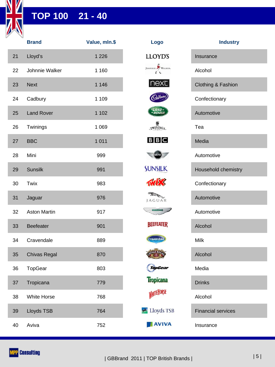

### **TOP 100 21 - 40**

|    | <b>Brand</b>        | Value, mln.\$ | Logo                 | <b>Industry</b>           |
|----|---------------------|---------------|----------------------|---------------------------|
| 21 | Lloyd's             | 1 2 2 6       | <b>LLOYD'S</b>       | Insurance                 |
| 22 | Johnnie Walker      | 1 160         | JOHNNIE WALKER.      | Alcohol                   |
| 23 | <b>Next</b>         | 1 1 4 6       | next                 | Clothing & Fashion        |
| 24 | Cadbury             | 1 1 0 9       |                      | Confectionary             |
| 25 | <b>Land Rover</b>   | 1 1 0 2       | <b>LAND</b><br>ROVER | Automotive                |
| 26 | Twinings            | 1 0 6 9       | TWININGS             | Tea                       |
| 27 | <b>BBC</b>          | 1 0 1 1       | $B$ $B$ $C$          | Media                     |
| 28 | Mini                | 999           | MINI)                | Automotive                |
| 29 | <b>Sunsilk</b>      | 991           | <b>SUNSILK</b>       | Household chemistry       |
| 30 | Twix                | 983           | TWIX                 | Confectionary             |
| 31 | Jaguar              | 976           | JAGUAR               | Automotive                |
| 32 | <b>Aston Martin</b> | 917           |                      | Automotive                |
| 33 | Beefeater           | 901           | <b>BEEFEATER</b>     | Alcohol                   |
| 34 | Cravendale          | 889           | <b>Cravendale</b>    | Milk                      |
| 35 | <b>Chivas Regal</b> | 870           |                      | Alcohol                   |
| 36 | TopGear             | 803           | TopGear              | Media                     |
| 37 | Tropicana           | 779           | <b>Tropícana</b>     | <b>Drinks</b>             |
| 38 | White Horse         | 768           | <b>WHITE HORSE</b>   | Alcohol                   |
| 39 | Lloyds TSB          | 764           | Lloyds TSB           | <b>Financial services</b> |
| 40 | Aviva               | 752           | <b>AVIVA</b>         | Insurance                 |

| ogo.                  | <b>Industry</b>               |
|-----------------------|-------------------------------|
| OYD'S                 | Insurance                     |
| WALKER.               | Alcohol                       |
| <u>ext</u>            | <b>Clothing &amp; Fashion</b> |
|                       | Confectionary                 |
| LAND:<br>ROVEI        | Automotive                    |
| NINING <sub>S</sub>   | Tea                           |
| B C                   | Media                         |
| (MINI)                | Automotive                    |
| VSILK                 | Household chemistry           |
| TES                   | Confectionary                 |
| GUAR                  | Automotive                    |
|                       | Automotive                    |
| EFEATER               | Alcohol                       |
| vendale               | Milk                          |
|                       | Alcohol                       |
| opGear                | Media                         |
| pícana                | <b>Drinks</b>                 |
| <sub>I</sub> ITEHORSE | Alcohol                       |
| loyds TSB             | <b>Financial services</b>     |
| <b>AVIVA</b>          | Insurance                     |

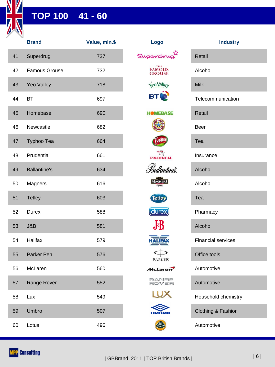

## **TOP 100 41 - 60**

|    | <b>Brand</b>         | Value, mln.\$ | Logo                    | <b>Industry</b>           |
|----|----------------------|---------------|-------------------------|---------------------------|
| 41 | Superdrug            | 737           | Superdr                 | Retail                    |
| 42 | <b>Famous Grouse</b> | 732           | <b>FAMOUS</b><br>GROUSE | Alcohol                   |
| 43 | Yeo Valley           | 718           | <b>Veo Valley</b>       | <b>Milk</b>               |
| 44 | <b>BT</b>            | 697           | <b>BT</b>               | Telecommunication         |
| 45 | Homebase             | 690           | <b>HOMEBASE</b>         | Retail                    |
| 46 | Newcastle            | 682           |                         | Beer                      |
| 47 | Typhoo Tea           | 664           |                         | Tea                       |
| 48 | Prudential           | 661           | <b>PRUDENTIAL</b>       | Insurance                 |
| 49 | <b>Ballantine's</b>  | 634           | s<br>Sallantinės        | Alcohol                   |
| 50 | Magners              | 616           | <b>MAGNERS</b>          | Alcohol                   |
| 51 | <b>Tetley</b>        | 603           | <b>Tetley</b>           | Tea                       |
| 52 | Durex                | 588           | (durex)                 | Pharmacy                  |
| 53 | J&B                  | 581           | $J\!\Phi\!B$            | Alcohol                   |
| 54 | <b>Halifax</b>       | 579           | <b>HALIFAX</b>          | <b>Financial services</b> |
| 55 | Parker Pen           | 576           | <b>PARKER</b>           | Office tools              |
| 56 | McLaren              | 560           | <b>McLaren</b>          | Automotive                |
| 57 | Range Rover          | 552           | RANGE<br>ROVER          | Automotive                |
| 58 | Lux                  | 549           |                         | Household chemistry       |
| 59 | Umbro                | 507           | UMBRO                   | Clothing & Fashion        |
| 60 | Lotus                | 496           | 得                       | Automotive                |

| Logo                           |              |
|--------------------------------|--------------|
| wan<br>uperc                   | F            |
| <b>FAMOUS</b><br><b>GROUSE</b> | ŀ            |
| <b>VeoValley</b>               | Ŋ            |
| BT                             | ٦            |
| <b>HOMEBASE</b>                | F            |
|                                | E            |
| phoc                           | I            |
| <b>EXAMPLE PRUDENTIAL</b>      | I            |
| Ballantineš.                   | ł            |
| <b>MAGNERS</b>                 | ŀ            |
| <b>Tetley</b>                  | I            |
| (durex)                        | F            |
| ${\bf J}$                      | ł            |
| <b>HALIFAX</b>                 | F            |
| PARKER                         | $\mathsf{C}$ |
| <i>M</i> cLaren <sup>7</sup>   | ŀ            |
| RANGE<br>ROVER                 | ŀ            |
|                                | ŀ            |
| D                              | C            |
| $\mathcal{C}_{\text{OT}}$      | ŀ            |

| <b>Industry</b>               |
|-------------------------------|
| Retail                        |
| Alcohol                       |
| Milk                          |
| Telecommunication             |
| Retail                        |
| Beer                          |
| Tea                           |
| Insurance                     |
| Alcohol                       |
| Alcohol                       |
| Tea                           |
| Pharmacy                      |
| Alcohol                       |
| <b>Financial services</b>     |
| Office tools                  |
| Automotive                    |
| Automotive                    |
| Household chemistry           |
| <b>Clothing &amp; Fashion</b> |

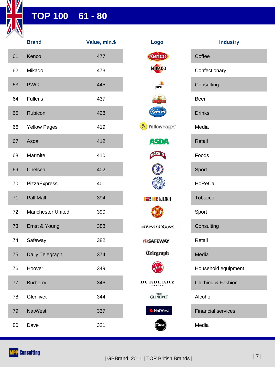

### **TOP 100 61 - 80**

|    | <b>Brand</b>        | Value, mln.\$ | Logo                                                           | <b>Industry</b>           |
|----|---------------------|---------------|----------------------------------------------------------------|---------------------------|
| 61 | Kenco               | 477           | Kenco                                                          | Coffee                    |
| 62 | Mikado              | 473           | <b>MIRADO</b>                                                  | Confectionary             |
| 63 | <b>PWC</b>          | 445           | pwc                                                            | Consulting                |
| 64 | Fuller's            | 437           |                                                                | Beer                      |
| 65 | Rubicon             | 428           | <b>Kubico</b>                                                  | <b>Drinks</b>             |
| 66 | <b>Yellow Pages</b> | 419           | Yellow Pages <sup>®</sup>                                      | Media                     |
| 67 | Asda                | 412           | <b>ASDA</b>                                                    | Retail                    |
| 68 | Marmite             | 410           | MARMIT                                                         | Foods                     |
| 69 | Chelsea             | 402           |                                                                | Sport                     |
| 70 | PizzaExpress        | 401           |                                                                | HoReCa                    |
| 71 | Pall Mall           | 394           | <b>THE REAL MALL</b>                                           | Tobacco                   |
| 72 | Manchester United   | 390           |                                                                | Sport                     |
| 73 | Ernst & Young       | 388           | <b>EI ERNST &amp; YOUNG</b>                                    | Consulting                |
| 74 | Safeway             | 382           | (S) SAFEWAY                                                    | Retail                    |
| 75 | Daily Telegraph     | 374           | <b>Telegraph</b>                                               | Media                     |
| 76 | Hoover              | 349           | <b>Hoove</b>                                                   | Household equipment       |
| 77 | <b>Burberry</b>     | 346           | <b>BURBERRY</b><br>${\tt L}$ o ${\tt N}$ ${\tt D}$ o ${\tt N}$ | Clothing & Fashion        |
| 78 | Glenlivet           | 344           | <b>GLENLIVET</b>                                               | Alcohol                   |
| 79 | <b>NatWest</b>      | 337           | <b>a</b> NatWest                                               | <b>Financial services</b> |
| 80 | Dave                | 321           | Dave                                                           | Media                     |

| go                                           | <b>Industry</b>           |
|----------------------------------------------|---------------------------|
| ico                                          | Coffee                    |
| <b>ADO</b>                                   | Confectionary             |
| $\overline{wc}$                              | Consulting                |
|                                              | Beer                      |
| írco                                         | <b>Drinks</b>             |
| <b>wPages</b>                                | Media                     |
| 4 D'1                                        | Retail                    |
| <b>MITE</b>                                  | Foods                     |
|                                              | Sport                     |
|                                              | HoReCa                    |
| PALL MALL                                    | Tobacco                   |
|                                              | Sport                     |
| & YOUNG                                      | Consulting                |
| <b>EWAY</b>                                  | Retail                    |
| yraph                                        | Media                     |
|                                              | Household equipment       |
| ${\bf E}{\bf R}{\bf R}{\bf Y}$<br><b>DON</b> | Clothing & Fashion        |
| <sub>THE</sub><br>NLIVET                     | Alcohol                   |
| atWest                                       | <b>Financial services</b> |
| Dave                                         | Media                     |

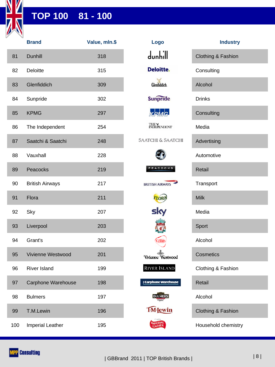

## **TOP 100 81 - 100**

|     | <b>Brand</b>           | Value, mln.\$ | Logo                                           | <b>Industry</b>     |
|-----|------------------------|---------------|------------------------------------------------|---------------------|
| 81  | <b>Dunhill</b>         | 318           | $d$ <sub>unhill</sub>                          | Clothing & Fashion  |
| 82  | Deloitte               | 315           | <b>Deloitte.</b>                               | Consulting          |
| 83  | Glenfiddich            | 309           | Glenfiddich.                                   | Alcohol             |
| 84  | Sunpride               | 302           | <b>Sunpride</b>                                | <b>Drinks</b>       |
| 85  | <b>KPMG</b>            | 297           | <b>KPMG</b>                                    | Consulting          |
| 86  | The Independent        | 254           | THE ¥<br>INDEPENDENT                           | Media               |
| 87  | Saatchi & Saatchi      | 248           | <b>SAATCHI &amp; SAATCHI</b>                   | Advertising         |
| 88  | Vauxhall               | 228           |                                                | Automotive          |
| 89  | Peacocks               | 219           | PEACOCKS                                       | Retail              |
| 90  | <b>British Airways</b> | 217           | <b>BRITISH AIRWAYS</b>                         | Transport           |
| 91  | Flora                  | 211           | <b>FLORA</b>                                   | <b>Milk</b>         |
| 92  | Sky                    | 207           | sky                                            | Media               |
| 93  | Liverpool              | 203           |                                                | Sport               |
| 94  | Grant's                | 202           | Grants                                         | Alcohol             |
| 95  | Vivienne Westwood      | 201           | $\mathbb{d}_{\mathbb{D}}$<br>Vivienne Westwood | Cosmetics           |
| 96  | River Island           | 199           | <b>RIVER ISLAND</b>                            | Clothing & Fashion  |
| 97  | Carphone Warehouse     | 198           | <b>E Carphone Warehouse</b>                    | Retail              |
| 98  | <b>Bulmers</b>         | 197           | <b>BULMERS</b>                                 | Alcohol             |
| 99  | T.M.Lewin              | 196           | <b>TM</b> Jewin                                | Clothing & Fashion  |
| 100 | Imperial Leather       | 195           | Cussom<br><b>IMPERIAL</b>                      | Household chemistry |

| Logo                       | <b>Industry</b>               |
|----------------------------|-------------------------------|
| $d$ unhill                 | Clothing & Fashion            |
| <b>Deloitte.</b>           | Consulting                    |
| Glenfiddich.               | Alcohol                       |
| <b>Sunpride</b>            | <b>Drinks</b>                 |
| K.PMG.                     | Consulting                    |
| THE ¥<br>INDEPENDENT       | Media                         |
| TCHI & SAATCHI             | Advertising                   |
|                            | Automotive                    |
| PEACOCKS                   | <b>Retail</b>                 |
| <b>UTISH AIRWAYS</b>       | Transport                     |
| FLORI                      | <b>Milk</b>                   |
| sky                        | Media                         |
|                            | Sport                         |
| <b>Grant</b>               | Alcohol                       |
| ivienne Westwood           | Cosmetics                     |
| <b>IVER ISLAND</b>         | Clothing & Fashion            |
| arphone Warehouse          | <b>Retail</b>                 |
| <b>BULMERS</b>             | Alcohol                       |
| <b>I</b> M <b>[ewin</b>    | <b>Clothing &amp; Fashion</b> |
| <b>IMPERIAL</b><br>LEATHER | Household chemistry           |